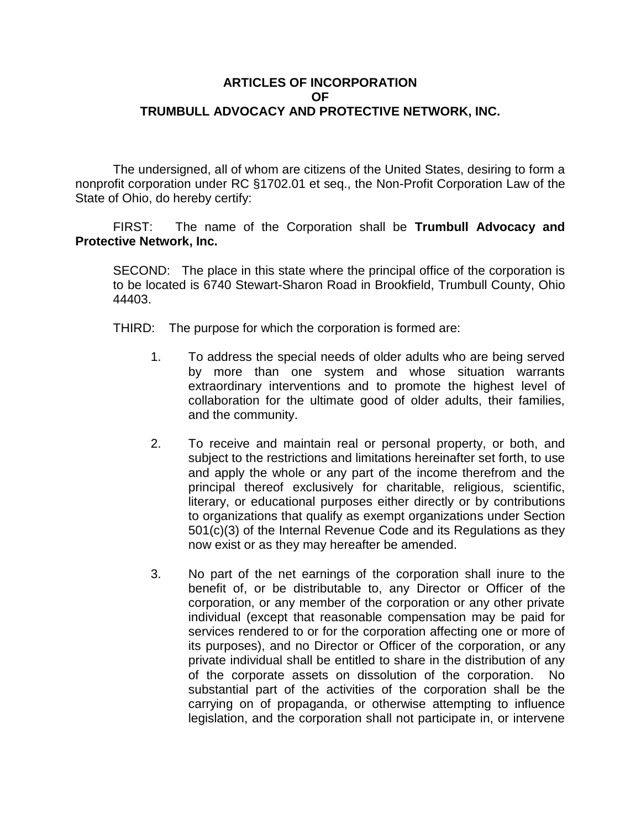## **ARTICLES OF INCORPORATION OF TRUMBULL ADVOCACY AND PROTECTIVE NETWORK, INC.**

The undersigned, all of whom are citizens of the United States, desiring to form a nonprofit corporation under RC §1702.01 et seq., the Non-Profit Corporation Law of the State of Ohio, do hereby certify:

FIRST: The name of the Corporation shall be **Trumbull Advocacy and Protective Network, Inc.**

SECOND: The place in this state where the principal office of the corporation is to be located is 6740 Stewart-Sharon Road in Brookfield, Trumbull County, Ohio 44403.

THIRD: The purpose for which the corporation is formed are:

- 1. To address the special needs of older adults who are being served by more than one system and whose situation warrants extraordinary interventions and to promote the highest level of collaboration for the ultimate good of older adults, their families, and the community.
- 2. To receive and maintain real or personal property, or both, and subject to the restrictions and limitations hereinafter set forth, to use and apply the whole or any part of the income therefrom and the principal thereof exclusively for charitable, religious, scientific, literary, or educational purposes either directly or by contributions to organizations that qualify as exempt organizations under Section 501(c)(3) of the Internal Revenue Code and its Regulations as they now exist or as they may hereafter be amended.
- 3. No part of the net earnings of the corporation shall inure to the benefit of, or be distributable to, any Director or Officer of the corporation, or any member of the corporation or any other private individual (except that reasonable compensation may be paid for services rendered to or for the corporation affecting one or more of its purposes), and no Director or Officer of the corporation, or any private individual shall be entitled to share in the distribution of any of the corporate assets on dissolution of the corporation. No substantial part of the activities of the corporation shall be the carrying on of propaganda, or otherwise attempting to influence legislation, and the corporation shall not participate in, or intervene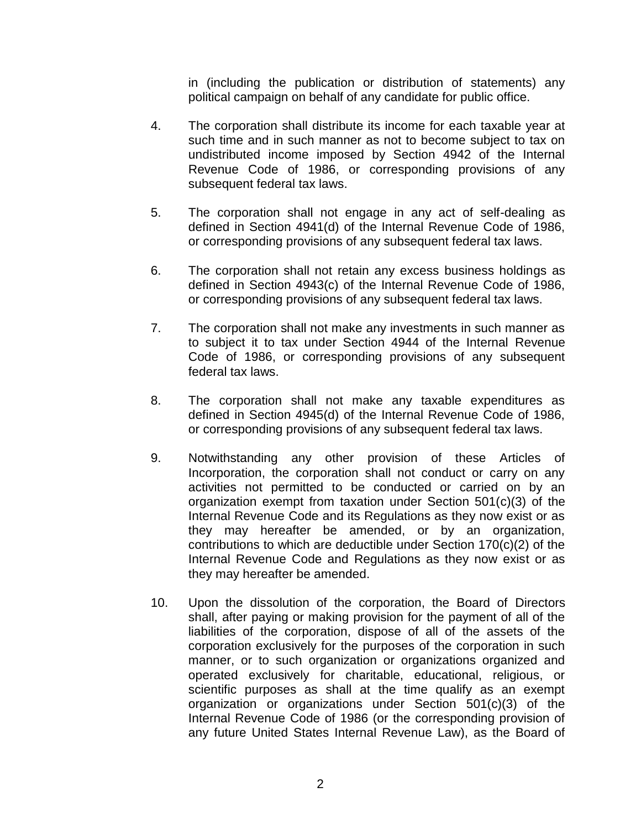in (including the publication or distribution of statements) any political campaign on behalf of any candidate for public office.

- 4. The corporation shall distribute its income for each taxable year at such time and in such manner as not to become subject to tax on undistributed income imposed by Section 4942 of the Internal Revenue Code of 1986, or corresponding provisions of any subsequent federal tax laws.
- 5. The corporation shall not engage in any act of self-dealing as defined in Section 4941(d) of the Internal Revenue Code of 1986, or corresponding provisions of any subsequent federal tax laws.
- 6. The corporation shall not retain any excess business holdings as defined in Section 4943(c) of the Internal Revenue Code of 1986, or corresponding provisions of any subsequent federal tax laws.
- 7. The corporation shall not make any investments in such manner as to subject it to tax under Section 4944 of the Internal Revenue Code of 1986, or corresponding provisions of any subsequent federal tax laws.
- 8. The corporation shall not make any taxable expenditures as defined in Section 4945(d) of the Internal Revenue Code of 1986, or corresponding provisions of any subsequent federal tax laws.
- 9. Notwithstanding any other provision of these Articles of Incorporation, the corporation shall not conduct or carry on any activities not permitted to be conducted or carried on by an organization exempt from taxation under Section 501(c)(3) of the Internal Revenue Code and its Regulations as they now exist or as they may hereafter be amended, or by an organization, contributions to which are deductible under Section 170(c)(2) of the Internal Revenue Code and Regulations as they now exist or as they may hereafter be amended.
- 10. Upon the dissolution of the corporation, the Board of Directors shall, after paying or making provision for the payment of all of the liabilities of the corporation, dispose of all of the assets of the corporation exclusively for the purposes of the corporation in such manner, or to such organization or organizations organized and operated exclusively for charitable, educational, religious, or scientific purposes as shall at the time qualify as an exempt organization or organizations under Section 501(c)(3) of the Internal Revenue Code of 1986 (or the corresponding provision of any future United States Internal Revenue Law), as the Board of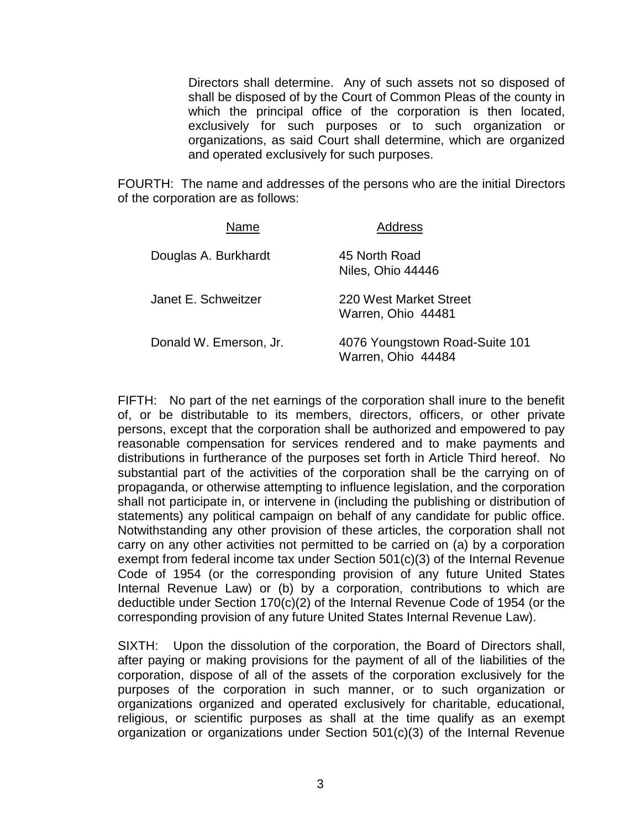Directors shall determine. Any of such assets not so disposed of shall be disposed of by the Court of Common Pleas of the county in which the principal office of the corporation is then located, exclusively for such purposes or to such organization or organizations, as said Court shall determine, which are organized and operated exclusively for such purposes.

FOURTH: The name and addresses of the persons who are the initial Directors of the corporation are as follows:

| Name                   | <b>Address</b>                                       |
|------------------------|------------------------------------------------------|
| Douglas A. Burkhardt   | 45 North Road<br>Niles, Ohio 44446                   |
| Janet E. Schweitzer    | 220 West Market Street<br>Warren, Ohio 44481         |
| Donald W. Emerson, Jr. | 4076 Youngstown Road-Suite 101<br>Warren, Ohio 44484 |

FIFTH: No part of the net earnings of the corporation shall inure to the benefit of, or be distributable to its members, directors, officers, or other private persons, except that the corporation shall be authorized and empowered to pay reasonable compensation for services rendered and to make payments and distributions in furtherance of the purposes set forth in Article Third hereof. No substantial part of the activities of the corporation shall be the carrying on of propaganda, or otherwise attempting to influence legislation, and the corporation shall not participate in, or intervene in (including the publishing or distribution of statements) any political campaign on behalf of any candidate for public office. Notwithstanding any other provision of these articles, the corporation shall not carry on any other activities not permitted to be carried on (a) by a corporation exempt from federal income tax under Section 501(c)(3) of the Internal Revenue Code of 1954 (or the corresponding provision of any future United States Internal Revenue Law) or (b) by a corporation, contributions to which are deductible under Section  $170(c)(2)$  of the Internal Revenue Code of 1954 (or the corresponding provision of any future United States Internal Revenue Law).

SIXTH: Upon the dissolution of the corporation, the Board of Directors shall, after paying or making provisions for the payment of all of the liabilities of the corporation, dispose of all of the assets of the corporation exclusively for the purposes of the corporation in such manner, or to such organization or organizations organized and operated exclusively for charitable, educational, religious, or scientific purposes as shall at the time qualify as an exempt organization or organizations under Section 501(c)(3) of the Internal Revenue